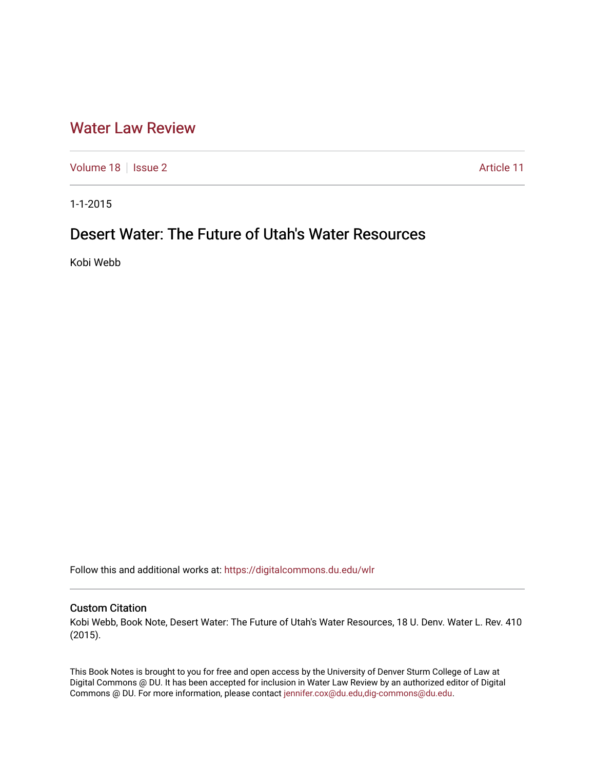## [Water Law Review](https://digitalcommons.du.edu/wlr)

[Volume 18](https://digitalcommons.du.edu/wlr/vol18) | [Issue 2](https://digitalcommons.du.edu/wlr/vol18/iss2) Article 11

1-1-2015

# Desert Water: The Future of Utah's Water Resources

Kobi Webb

Follow this and additional works at: [https://digitalcommons.du.edu/wlr](https://digitalcommons.du.edu/wlr?utm_source=digitalcommons.du.edu%2Fwlr%2Fvol18%2Fiss2%2F11&utm_medium=PDF&utm_campaign=PDFCoverPages) 

### Custom Citation

Kobi Webb, Book Note, Desert Water: The Future of Utah's Water Resources, 18 U. Denv. Water L. Rev. 410 (2015).

This Book Notes is brought to you for free and open access by the University of Denver Sturm College of Law at Digital Commons @ DU. It has been accepted for inclusion in Water Law Review by an authorized editor of Digital Commons @ DU. For more information, please contact [jennifer.cox@du.edu,dig-commons@du.edu.](mailto:jennifer.cox@du.edu,dig-commons@du.edu)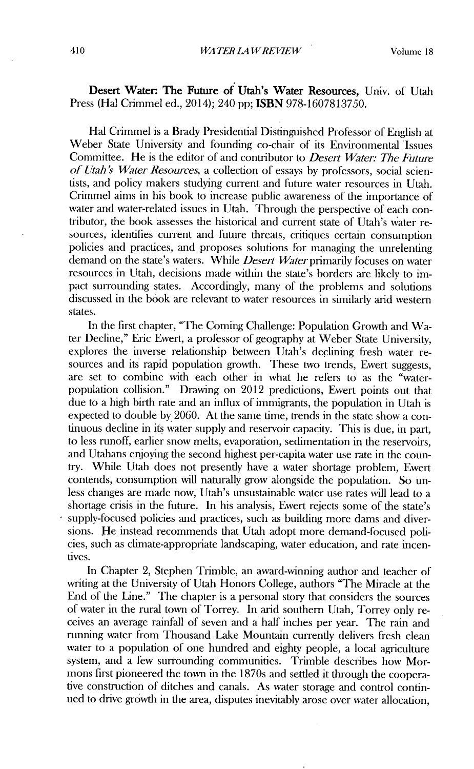### Desert Water: The Future **of** Utah's Water Resources, Univ. of Utah Press (Hal Crimmel ed., 2014); 240 pp; ISBN 978-1607813750.

Hal Crimmel is a Brady Presidential Distinguished Professor of English at Weber State University and founding co-chair of its Environmental Issues Committee. He is the editor of and contributor to *Desert Water: The Future of Utah's Water Resources,* a collection of essays **by** professors, social scientists, and policy makers studying current and future water resources in Utah. Crimmel aims in his book to increase public awareness of the importance of water and water-related issues in Utah. Through the perspective of each contributor, the book assesses the historical and current state of Utah's water resources, identifies current and future threats, critiques certain consumption policies and practices, and proposes solutions for managing the unrelenting demand on the state's waters. While *Desert Water* primarily focuses on water resources in Utah, decisions made within the state's borders are likely to **im**pact surrounding states. Accordingly, many of the problems and solutions discussed in the book are relevant to water resources in similarly arid western states.

In the first chapter, "The Coming Challenge: Population Growth and Water Decline," Eric Ewert, a professor of geography at Weber State University, explores the inverse relationship between Utah's declining fresh water resources and its rapid population growth. These two trends, Ewert suggests, are set to combine with each other in what he refers to as the "waterpopulation collision." Drawing on 2012 predictions, Ewert points out that due to a high birth rate and an influx of immigrants, the population in Utah is expected to double by 2060. At the sane time, trends in the state show a continuous decline in its water supply and reservoir capacity. This is due, in part, to less runoff, earlier snow melts, evaporation, sedimentation in the reservoirs, and Utahans enjoying the second highest per-capita water use rate in the country. While Utah does not presently have a water shortage problem, Ewert contends, consumption will naturally grow alongside the population. So unless changes are made now, Utah's unsustainable water use rates will lead to a shortage crisis in the future. In his analysis, Ewert rejects some of the state's supply-focused policies and practices, such as building more dams and diversions. He instead recommends that Utah adopt more demand-focused policies, such as climate-appropriate landscaping, water education, and rate incentives.

In Chapter 2, Stephen Trimble, an award-winning author and teacher of writing at the University of Utah Honors College, authors "The Miracle at the End of the Line." The chapter is a personal story that considers the sources of water in the rural town of Torrey. In arid southern Utah, Torrey only receives an average rainfall of seven and a half inches per year. The rain and running water from Thousand Lake Mountain currently delivers fresh clean water to a population of one hundred and eighty people, a local agriculture system, and a few surrounding communities. Trimble describes how Mormons first pioneered the town in the 1870s and settled it through the cooperative construction of ditches and canals. As water storage and control continued to drive growth in the area, disputes inevitably arose over water allocation,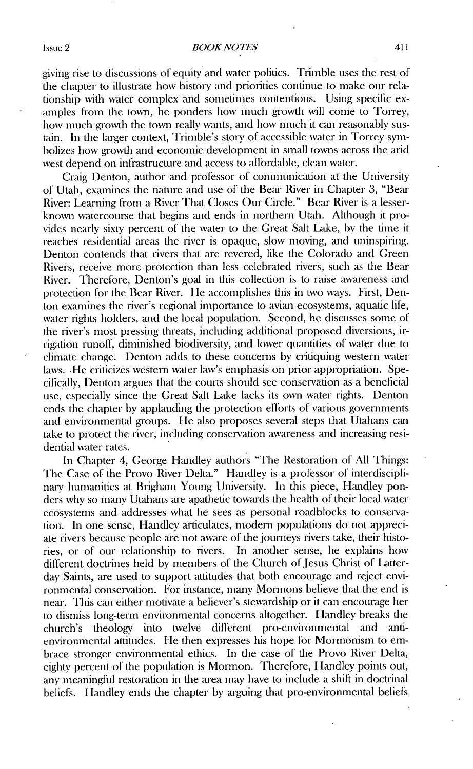#### *BOOK NOTLS*

giving rise to discussions of equity and water politics. Trimble uses the rest of the chapter to illustrate how history and priorities continue to make our relationship with water complex and sometimes contentious. Using specific examples from the town, he ponders how much growth will come to Torrey, how much growth the town really wants, and how much it can reasonably sustain. In the lauger context, Trimble's story of accessible water in Torrey symbolizes how growth and economic development in small towns across the arid west depend on infrastructure and access to affordable, clean water.

Craig Denton, author and professor of communication at the University of Utah, examines the nature **and** use of the Bear River in Chapter 3, "Bear River: Learning from a River That Closes Our Circle." Bear River is a lesserknown watercourse that begins and ends in northern Utah. Although it provides nearly sixty percent of the water to the Great Salt Lake, **by** the time it reaches residential areas the river is opaque, slow moving, and uninspiring. Denton contends that rivers that are revered, like the Colorado and Green Rivers, receive more protection than less celebrated rivers, such as the Bear River. Therefore, Denton's goal in this collection is to raise awareness and protection for the Bear River. He accomplishes this in two ways. First, Denton examines the river's regional importance to avian ecosystems, aquatic life, water rights holders, and the local population. Second, he discusses some of the river's most pressing threats, including additional proposed diversions, irrigation runoll, diminished biodiversity, and lower quantities of water due to climate change. Denton adds to these concerns by critiquing western water laws. He criticizes western water law's emphasis on prior appropriation. Specifically, Denton argues that the courts should see conservation as a beneficial use, especially since the Great Salt Lake lacks its own water rights. Denton ends the chapter by applauding the protection efforts of various governments and environmental groups. He also proposes several steps that Utahans can take to protect the river, including conservation awareness and increasing residential water rates.

In Chapter 4, George Handley authors "The Restoration of All Things: The Case of the Provo River Delta." Handley is a professor of interdisciplinary humanities at Brigham Young University. In this piece, Handley ponders why so many Utahans are apathetic towards the health of their local water ecosystems mad addresses what he sees as personal roadblocks to conservation. In one sense, Handley articulates, modern populations do not appreciate rivers because people are not aware of the journeys rivers take, their histories, or of our relationship to rivers. In another sense, he explains how different doctrines held by members of the Church of Jesus Christ of Latterday Saints, are used to support attitudes that both encourage and reject environmental conservation. For instance, many Mormons believe that the end is near. This can either motivate a believer's stewardship or it can encourage her to dismiss long-term environmental concerns altogether. Handley breaks tie church's theology into twelve different pro-environmental and antienvironmental attitudes. He then expresses his hope for Mormonism to embrace stronger environmental ethics. In the case of the Provo River Delta, eighty percent of the population is Mormon. Therefore, Handley points out, any meaningftil restoration in the area may have to include a shift in doctrinal beliefs. Handley ends the chapter by arguing that pro-environmental beliefs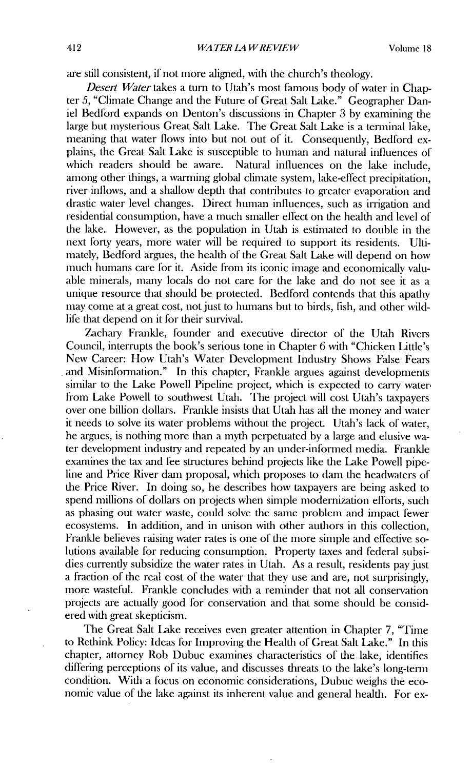are still consistent, if not more aligned, with the church's theology.

*Desert Water* takes a turn to Utah's most famous body of water in Chapter 5, "Climate Change and the Future of Great Salt Lake." Geographer Daniel Bedford expands on Denton's discussions in Chapter 3 by examining the large but mysterious Great Salt Lake. The Great Salt Lake is a terminal lake. meaning that water flows into but not out of it. Consequently, Bedford explains, the Great Salt Lake is susceptible to human and natural influences of which readers should be aware. Natural influences on the lake include, among other things, a warming global clinate system, lake-effect precipitation, river inflows, and a shallow depth that contributes to greater evaporation and drastic water level changes. Direct human influences, such as irrigation and residential consumption, have a much smaller effect on the health and level of the lake. However, as the population in Utah is estimated to double in the next forty years, more water will be required to support its residents. Ultimately, Bedford argues, the health of the Great Salt Lake will depend on how much humans care for it. Aside from its iconic image and economically valuable minerals, many locals do not care for the lake and do not see it as a unique resource that should be protected. Bedford contends that this apathy may come at a great cost, not just to humans but to birds, fish, and other wildlife that depend on it for their survival.

Zachary Frankle, founder and executive director of the Utah Rivers Council, interrupts the book's serious tone in Chapter 6 with "Chicken Little's New Career: How Utah's Water Development Industry Shows False Fears and Misinformation." In this chapter, Frankle argues against developments similar to the Lake Powell Pipeline project, which is expected to carry water from Lake Powell to southwest Utah. The project will cost Utah's taxpayers over one billion dollars. Frankle insists that Utah has all the money and water it needs to solve its water problems without the project. Utah's lack of water, he argues, is nothing more than a myth perpetuated by a large and elusive water development industry and repeated by an under-informed media. Frankle exanines the tax and fee structures behind projects like the Lake Powell pipeline and Price River dam proposal, which proposes to dam the headwaters of the Price River. In doing so, he describes how taxpayers are being asked to spend millions of dollars on projects when simple modernization efforts, such as phasing out water waste, could solve the sane problem and impact fewer ecosystems. In addition, and in unison with other authors in this collection, Frankle believes raising water rates is one of the more simple and effective solutions available for reducing consumption. Property taxes and federal subsidies currently subsidize the water rates in Utah. As a result, residents pay just a fraction of the real cost of the water that they use and are, not surprisingly, more wasteful. Frankle concludes with a reminder that not all conservation projects are actually good for conservation and that some should be considered with great skepticism.

The Great Salt Lake receives even greater attention in Chapter 7, "Time to Rethink Policy: Ideas for Improving the Health of Great Salt Lake." In this chapter, attorney Rob Dubuc examnines characteristics of the lake, identifies differing perceptions of its value, mid discusses threats to the lake's long-term condition. With a focus on economic considerations, Dubuc weighs the economic value of the lake against its inherent value and general health. For ex-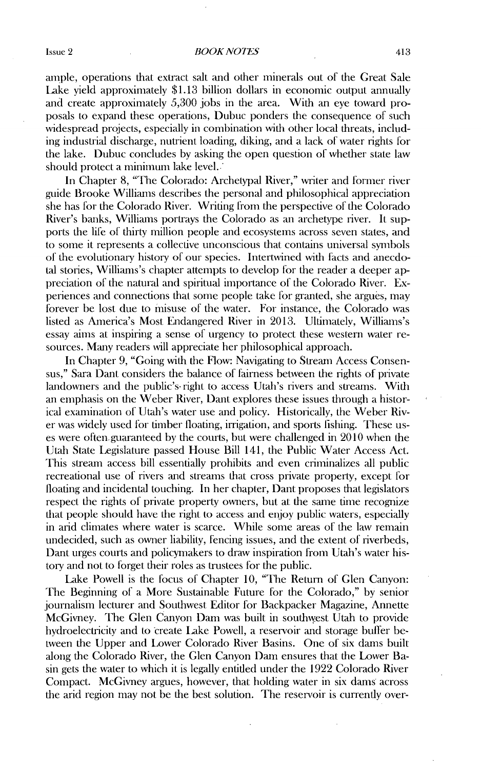ample, operations that extract salt and other minerals out of the Great Sale Lake yield approximately \$1.13 billion dollars in economic output annually and create approximately 5,300 jobs in the area. With an eye toward proposals to expand these operations, Dubuc ponders the consequence of such widespread projects, especially in combination with other local threats, including industrial discharge, nutrient loading, diking, and a lack of water rights for the lake. Dubuc concludes by asking the open question of whether state law should protect a minimum lake level.

In Chapter 8, "The Colorado: Archetypal River," writer and former river guide Brooke Williams describes the personal and philosophical appreciation she has for the Colorado River. Writing from the perspective of the Colorado River's banks, Williams portrays the Colorado as an archetype river. It supports tie life of thirty million people and ecosystems across seven states, and to some it represents a collective unconscious that contains universal symbols of the evolutionary history of our species. Intertwined with facts and anecdotal stories, Williams's chapter attempts to develop for the reader a deeper appreciation of the natural and spiritual importance of the Colorado River. Experiences and connections that some people take for granted, she argues, may forever be lost due to misuse of the water. For instance, the Colorado was listed as America's Most Endangered River in 2013. Ultimately, Williams's essay aims at inspiring a sense of urgency to protect these western water resources. Many readers will appreciate her philosophical approach.

In Chapter 9, "Going with the Flow: Navigating to Stream Access Consensus," Sara Dant considers the balance of fairness between the rights of private landowners and the public's- right to access Utah's rivers and streams. With an emphasis on the Weber River, Dant explores these issues through a historical examination of Utah's water use and policy. Historically, the Weber River was widely used for timber floating, irrigation, and sports fishing. These uses were often guaranteed by the courts, but were challenged in 2010 when the Utah State Legislature passed House Bill 141, the Public Water Access Act. This stream access bill essentially prohibits and even criminalizes all public recreational use of rivers and streams that cross private property, except for floating and incidental touching. In her chapter, Dant proposes that legislators respect the rights of private property owners, but at the same time recognize that people should have the right to access and enjoy public waters, especially in arid climates where water is scarce. While some areas of the law remain undecided, such as owner liability, fencing issues, and the extent of riverbeds, Dant urges courts and policymakers to draw inspiration from Utah's water history and not to forget their roles as trustees for the public.

Lake Powell is the focus of Chapter 10, "The Return of Glen Canyon: The Beginning of a More Sustainable Future for the Colorado," by senior journalism lecturer and Southwest Editor for Backpacker Magazine, Annette McGivney. The Glen Canyon Dam was built in southwest Utah to provide hydroelectricity and to create Lake Powell, a reservoir and storage buffer between the Upper and Lower Colorado River Basins. One of six dams built along the Colorado River, the Glen Canyon Dam ensures that the Lower Basin gets the water to which it is legally entitled under the 1922 Colorado River Compact. McGivney argues, however, that holding water in six dams across the arid region may not be the best solution. The reservoir is currently over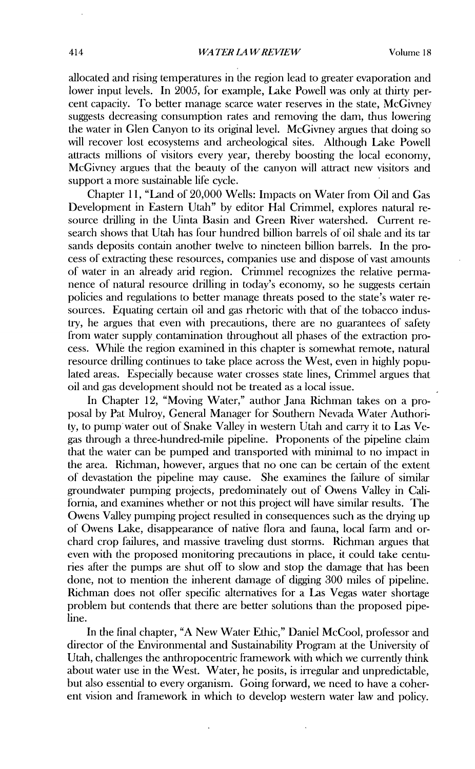allocated and rising temperatures in the region lead to greater evaporation and lower input levels. In 2005, for example, Lake Powell was only at thirty percent capacity. To better manage scarce water reserves in the state, McGivney suggests decreasing consumption rates and removing the dam, thus lowering the water in Glen Canyon to its original level. McGivney argues that doing so will recover lost ecosystems and archeological sites. Although Lake Powell attracts millions of visitors every year, thereby boosting the local economy, McGivney argues that the beauty of the canyon will attract new visitors and support a more sustainable life cycle.

Chapter 11, "Land of 20,000 Wells: Impacts on Water from Oil and Gas Development in Eastern Utah" by editor Hal Crimmel, explores natural resource drilling in the Uinta Basin and Green River watershed. Current research shows that Utah has four hundred billion barrels of oil shale and its tar sands deposits contain another twelve to nineteen billion barrels. In the process of extracting these resources, companies use and dispose of vast amounts of water in an already arid region. Crimmel recognizes the relative permanence of natural resource drilling in today's economy, so he suggests certain policies and regulations to better manage threats posed to the state's water resources. Equating certain oil and gas rhetoric with that of the tobacco industry, he argues that even with precautions, there are no guarantees of safety from water supply contamination throughout all phases of the extraction process. While the region examined in this chapter is somewhat remote, natural resource drilling continues to take place across the West, even in highly populated areas. Especially because water crosses state lines, Crimmel argues that oil and gas development should not be treated as a local issue.

In Chapter 12, "Moving Water," author Jana Richman takes on a proposal by Pat Mulroy, General Manager for Southern Nevada Water Authority, to pump water out of Snake Valley in western Utah and carry it to Las Vegas through a three-hundred-mile pipeline. Proponents of the pipeline claim that the water can be pumped and transported with minimal to no impact in the area. Richman, however, argues that no one can be certain of the extent of devastation the pipeline may cause. She examines the failure of similar groundwater pumping projects, predominately out of Owens Valley in California, and examines whether or not this project will have similar results. The Owens Valley pumping project resulted in consequences such as the drying up of Owens Lake, disappearance of native flora and fauna, local farm and orchard crop failures, and massive traveling dust storms. Richman argues that even with the proposed monitoring precautions in place, it could take centuries after the pumps are shut off to slow and stop the damage that has been done, not to mention the inherent damage of digging 300 miles of pipeline. Richman does not offer specific alternatives for a Las Vegas water shortage problem but contends that there are better solutions than the proposed pipeline.

In the final chapter, "A New Water Ethic," Daniel McCool, professor and director of the Environmental and Sustainability Program at the University of Utah, challenges the anthropocentric framework with which we currently think about water use in the West. Water, he posits, is irregular and unpredictable, but also essential to every organism. Going forward, we need to have a coherent vision and framework in which to develop western water law and policy.